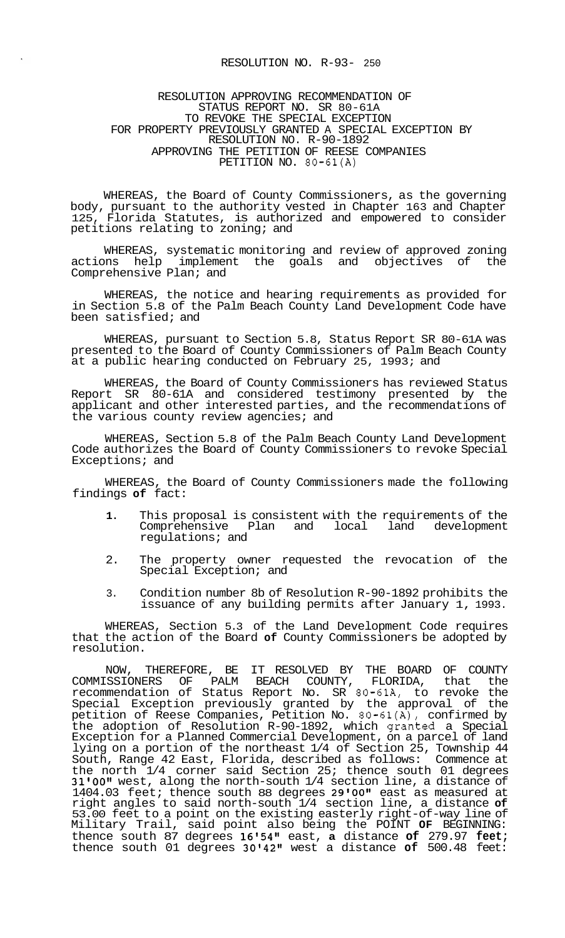## RESOLUTION NO. R-93- 250

## RESOLUTION APPROVING RECOMMENDATION OF STATUS REPORT NO. SR 80-61A TO REVOKE THE SPECIAL EXCEPTION FOR PROPERTY PREVIOUSLY GRANTED A SPECIAL EXCEPTION BY RESOLUTION NO. R-90-1892 APPROVING THE PETITION OF REESE COMPANIES PETITION NO. 80-61(A)

WHEREAS, the Board of County Commissioners, as the governing body, pursuant to the authority vested in Chapter 163 and Chapter 125, Florida Statutes, is authorized and empowered to consider petitions relating to zoning; and

WHEREAS, systematic monitoring and review of approved zoning actions help implement the goals and objectives of the Comprehensive Plan; and

WHEREAS, the notice and hearing requirements as provided for in Section 5.8 of the Palm Beach County Land Development Code have been satisfied; and

WHEREAS, pursuant to Section 5.8, Status Report SR 80-61A was presented to the Board of County Commissioners of Palm Beach County at a public hearing conducted on February 25, 1993; and

WHEREAS, the Board of County Commissioners has reviewed Status Report SR 80-61A and considered testimony presented by the applicant and other interested parties, and the recommendations of the various county review agencies; and

WHEREAS, Section 5.8 of the Palm Beach County Land Development Code authorizes the Board of County Commissioners to revoke Special Exceptions; and

WHEREAS, the Board of County Commissioners made the following findings **of** fact:

- **1.** This proposal is consistent with the requirements of the Comprehensive Plan and local land development regulations; and
- 2. The property owner requested the revocation of the Special Exception; and
- 3. Condition number 8b of Resolution R-90-1892 prohibits the issuance of any building permits after January 1, 1993.

WHEREAS, Section 5.3 of the Land Development Code requires that the action of the Board **of** County Commissioners be adopted by resolution.

NOW, THEREFORE, BE IT RESOLVED BY THE BOARD OF COUNTY COMMISSIONERS OF PALM BEACH COUNTY, FLORIDA, that the recommendation of Status Report No. SR 80-61A, to revoke the Special Exception previously granted by the approval of the petition of Reese Companies, Petition No. 80-61(A), confirmed by the adoption of Resolution R-90-1892, which granted a Special Exception for a Planned Commercial Development, on a parcel of land lying on a portion of the northeast 1/4 of Section 25, Township 44 South, Range 42 East, Florida, described as follows: Commence at the north 1/4 corner said Section 25; thence south 01 degrees 31'00" west, along the north-south 1/4 section line, a distance of 1404.03 feet; thence south 88 degrees 29'00" east as measured at right angles to said north-south 1/4 section line, a distance **of**  53.00 feet to a point on the existing easterly right-of-way line of Military Trail, said point also being the POINT **OF** BEGINNING: thence south 87 degrees 16'54" east, **a** distance of 279.97 feet; thence south 01 degrees 3014211 west a distance **of** 500.48 feet: